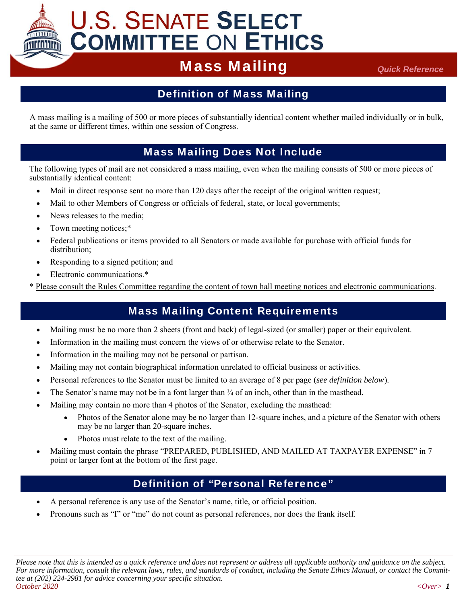# **U.S. SENATE SELECT COMMITTEE ON ETHICS**

## **Mass Mailing** *Quick Reference*

### Definition of Mass Mailing

A mass mailing is a mailing of 500 or more pieces of substantially identical content whether mailed individually or in bulk, at the same or different times, within one session of Congress.

#### Mass Mailing Does Not Include

The following types of mail are not considered a mass mailing, even when the mailing consists of 500 or more pieces of substantially identical content:

- Mail in direct response sent no more than 120 days after the receipt of the original written request;
- Mail to other Members of Congress or officials of federal, state, or local governments;
- News releases to the media:
- Town meeting notices;\*
- Federal publications or items provided to all Senators or made available for purchase with official funds for distribution;
- Responding to a signed petition; and
- Electronic communications.\*
- \* Please consult the Rules Committee regarding the content of town hall meeting notices and electronic communications.

#### Mass Mailing Content Requirements

- Mailing must be no more than 2 sheets (front and back) of legal-sized (or smaller) paper or their equivalent.
- Information in the mailing must concern the views of or otherwise relate to the Senator.
- Information in the mailing may not be personal or partisan.
- Mailing may not contain biographical information unrelated to official business or activities.
- Personal references to the Senator must be limited to an average of 8 per page (*see definition below*)*.*
- The Senator's name may not be in a font larger than  $\frac{1}{4}$  of an inch, other than in the masthead.
- Mailing may contain no more than 4 photos of the Senator, excluding the masthead:
	- Photos of the Senator alone may be no larger than 12-square inches, and a picture of the Senator with others may be no larger than 20-square inches.
	- Photos must relate to the text of the mailing.
- Mailing must contain the phrase "PREPARED, PUBLISHED, AND MAILED AT TAXPAYER EXPENSE" in 7 point or larger font at the bottom of the first page.

#### Definition of "Personal Reference"

- A personal reference is any use of the Senator's name, title, or official position.
- Pronouns such as "I" or "me" do not count as personal references, nor does the frank itself.

*Please note that this is intended as a quick reference and does not represent or address all applicable authority and guidance on the subject. For more information, consult the relevant laws, rules, and standards of conduct, including the Senate Ethics Manual, or contact the Committee at (202) 224-2981 for advice concerning your specific situation. October 2020 <Over> 1*